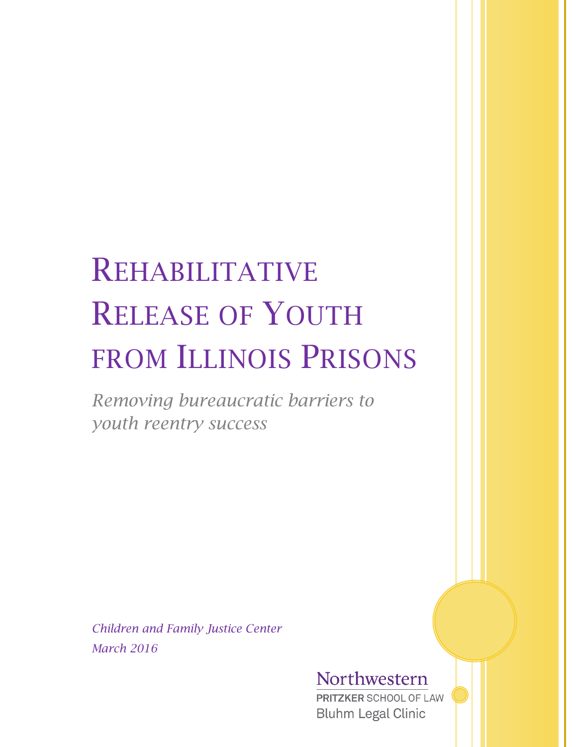# REHABILITATIVE RELEASE OF YOUTH FROM ILLINOIS PRISONS

*Removing bureaucratic barriers to youth reentry success*

*Children and Family Justice Center March 2016*

# Northwestern

**PRITZKER SCHOOL OF LAW Bluhm Legal Clinic**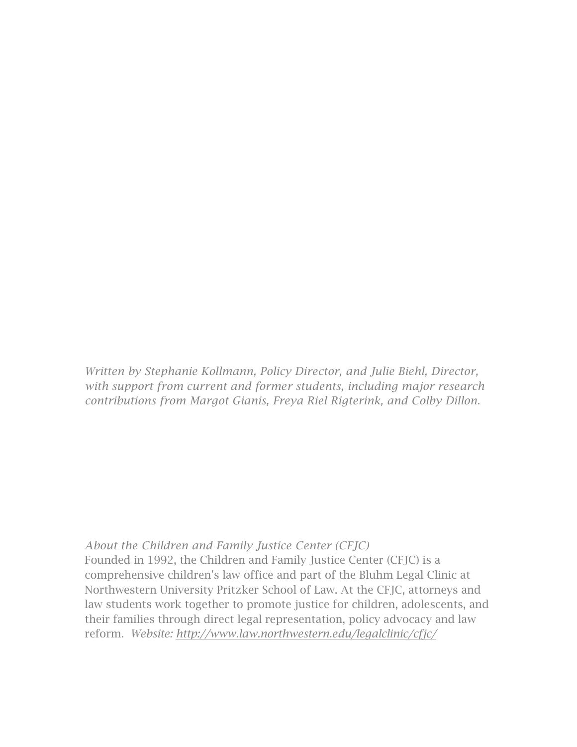*Written by Stephanie Kollmann, Policy Director, and Julie Biehl, Director, with support from current and former students, including major research contributions from Margot Gianis, Freya Riel Rigterink, and Colby Dillon.*

#### *About the Children and Family Justice Center (CFJC)*

Founded in 1992, the Children and Family Justice Center (CFJC) is a comprehensive children's law office and part of the Bluhm Legal Clinic at Northwestern University Pritzker School of Law. At the CFJC, attorneys and law students work together to promote justice for children, adolescents, and their families through direct legal representation, policy advocacy and law reform. *Website: <http://www.law.northwestern.edu/legalclinic/cfjc/>*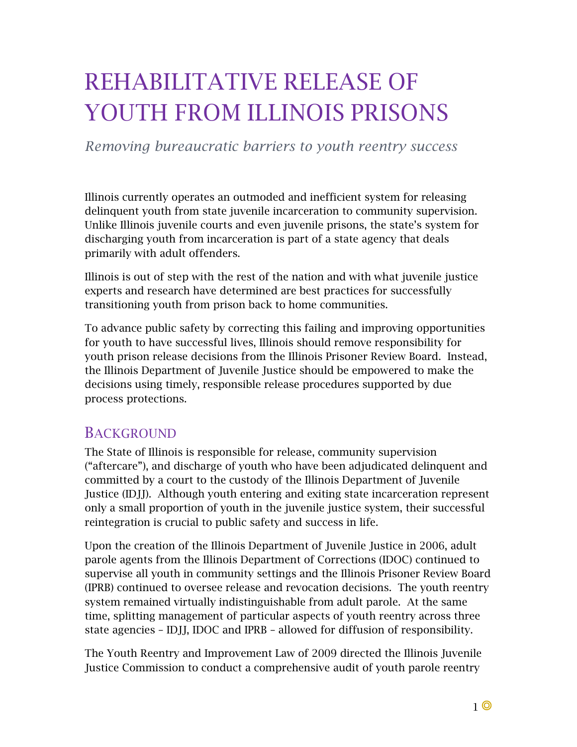# REHABILITATIVE RELEASE OF YOUTH FROM ILLINOIS PRISONS

*Removing bureaucratic barriers to youth reentry success* 

Illinois currently operates an outmoded and inefficient system for releasing delinquent youth from state juvenile incarceration to community supervision. Unlike Illinois juvenile courts and even juvenile prisons, the state's system for discharging youth from incarceration is part of a state agency that deals primarily with adult offenders.

Illinois is out of step with the rest of the nation and with what juvenile justice experts and research have determined are best practices for successfully transitioning youth from prison back to home communities.

To advance public safety by correcting this failing and improving opportunities for youth to have successful lives, Illinois should remove responsibility for youth prison release decisions from the Illinois Prisoner Review Board. Instead, the Illinois Department of Juvenile Justice should be empowered to make the decisions using timely, responsible release procedures supported by due process protections.

#### **BACKGROUND**

The State of Illinois is responsible for release, community supervision ("aftercare"), and discharge of youth who have been adjudicated delinquent and committed by a court to the custody of the Illinois Department of Juvenile Justice (IDJJ). Although youth entering and exiting state incarceration represent only a small proportion of youth in the juvenile justice system, their successful reintegration is crucial to public safety and success in life.

Upon the creation of the Illinois Department of Juvenile Justice in 2006, adult parole agents from the Illinois Department of Corrections (IDOC) continued to supervise all youth in community settings and the Illinois Prisoner Review Board (IPRB) continued to oversee release and revocation decisions. The youth reentry system remained virtually indistinguishable from adult parole. At the same time, splitting management of particular aspects of youth reentry across three state agencies – IDJJ, IDOC and IPRB – allowed for diffusion of responsibility.

The Youth Reentry and Improvement Law of 2009 directed the Illinois Juvenile Justice Commission to conduct a comprehensive audit of youth parole reentry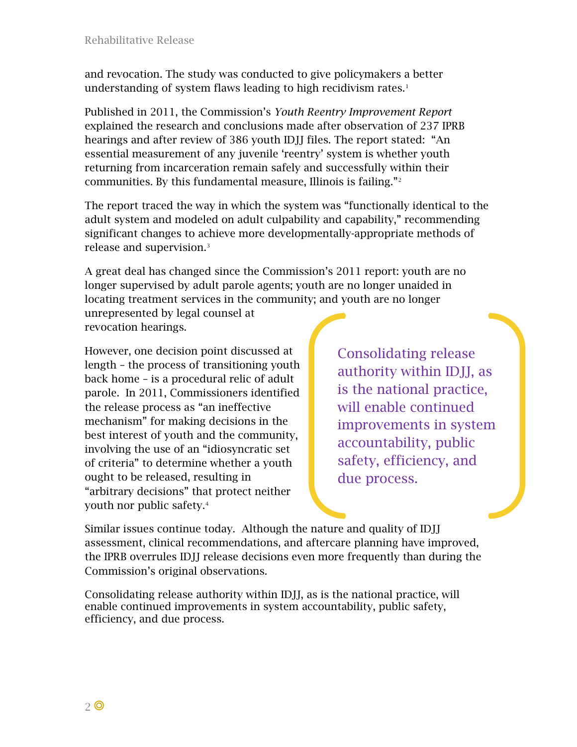and revocation. The study was conducted to give policymakers a better understanding of system flaws leading to high recidivism rates. $1$ 

Published in 2011, the Commission's *[Youth Reentry Improvement Report](http://ijjc.illinois.gov/reentryimprovementreport)* explained the research and conclusions made after observation of 237 IPRB hearings and after review of 386 youth IDJJ files. The report stated: "An essential measurement of any juvenile 'reentry' system is whether youth returning from incarceration remain safely and successfully within their communities. By this fundamental measure, Illinois is failing."[2](#page-11-1)

The report traced the way in which the system was "functionally identical to the adult system and modeled on adult culpability and capability," recommending significant changes to achieve more developmentally-appropriate methods of release and supervision.<sup>[3](#page-11-2)</sup>

A great deal has changed since the Commission's 2011 report: youth are no longer supervised by adult parole agents; youth are no longer unaided in locating treatment services in the community; and youth are no longer unrepresented by legal counsel at revocation hearings.

However, one decision point discussed at length – the process of transitioning youth back home – is a procedural relic of adult parole. In 2011, Commissioners identified the release process as "an ineffective mechanism" for making decisions in the best interest of youth and the community, involving the use of an "idiosyncratic set of criteria" to determine whether a youth ought to be released, resulting in "arbitrary decisions" that protect neither youth nor public safety.[4](#page-11-3)

Consolidating release authority within IDJJ, as is the national practice, will enable continued improvements in system accountability, public safety, efficiency, and due process.

Similar issues continue today. Although the nature and quality of IDJJ assessment, clinical recommendations, and aftercare planning have improved, the IPRB overrules IDJJ release decisions even more frequently than during the Commission's original observations.

Consolidating release authority within IDJJ, as is the national practice, will enable continued improvements in system accountability, public safety, efficiency, and due process.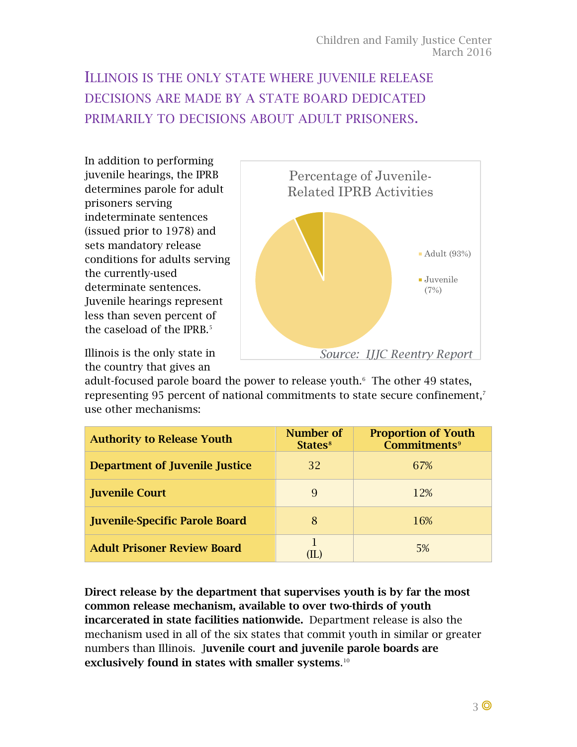# ILLINOIS IS THE ONLY STATE WHERE JUVENILE RELEASE DECISIONS ARE MADE BY A STATE BOARD DEDICATED PRIMARILY TO DECISIONS ABOUT ADULT PRISONERS.

In addition to performing juvenile hearings, the IPRB determines parole for adult prisoners serving indeterminate sentences (issued prior to 1978) and sets mandatory release conditions for adults serving the currently-used determinate sentences. Juvenile hearings represent less than seven percent of the caseload of the IPRB.<sup>[5](#page-12-0)</sup>

Illinois is the only state in the country that gives an

<span id="page-4-0"></span>

adult-focused parole board the power to release youth. The other 49 states, representing 95 percent of national commitments to state secure confinement,<sup>[7](#page-12-2)</sup> use other mechanisms:

| <b>Authority to Release Youth</b>     | Number of<br>States <sup>8</sup> | <b>Proportion of Youth</b><br><b>Commitments</b> <sup>9</sup> |  |  |
|---------------------------------------|----------------------------------|---------------------------------------------------------------|--|--|
| <b>Department of Juvenile Justice</b> | 32                               | 67%                                                           |  |  |
| <b>Juvenile Court</b>                 | 9                                | 12%                                                           |  |  |
| <b>Juvenile-Specific Parole Board</b> | 8                                | 16%                                                           |  |  |
| <b>Adult Prisoner Review Board</b>    |                                  | 5%                                                            |  |  |

Direct release by the department that supervises youth is by far the most common release mechanism, available to over two-thirds of youth incarcerated in state facilities nationwide. Department release is also the mechanism used in all of the six states that commit youth in similar or greater numbers than Illinois. Juvenile court and juvenile parole boards are exclusively found in states with smaller systems. $^{\scriptscriptstyle 10}$  $^{\scriptscriptstyle 10}$  $^{\scriptscriptstyle 10}$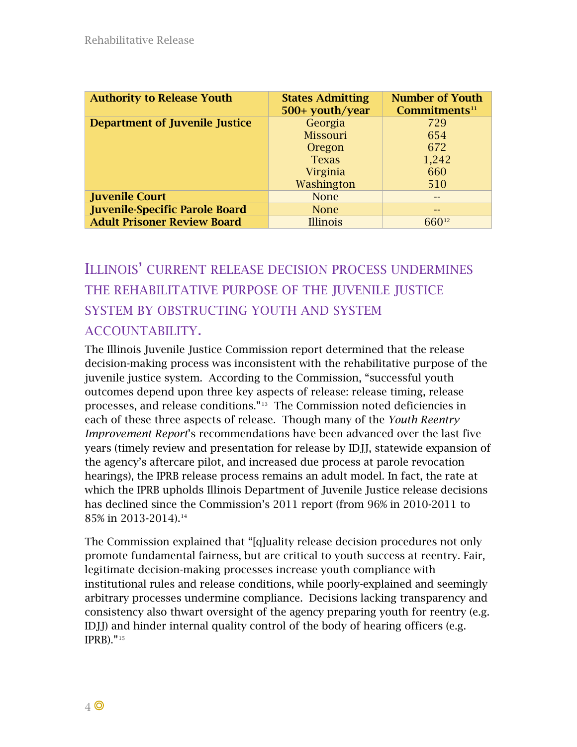| <b>Authority to Release Youth</b>     | <b>States Admitting</b><br>500+ youth/year | <b>Number of Youth</b><br>Commitments <sup>11</sup> |  |
|---------------------------------------|--------------------------------------------|-----------------------------------------------------|--|
| <b>Department of Juvenile Justice</b> | Georgia                                    | 729                                                 |  |
|                                       | Missouri                                   | 654                                                 |  |
|                                       | Oregon                                     | 672                                                 |  |
|                                       | <b>Texas</b>                               | 1,242                                               |  |
|                                       | Virginia                                   | 660                                                 |  |
|                                       | Washington                                 | 510                                                 |  |
| <b>Juvenile Court</b>                 | <b>None</b>                                |                                                     |  |
| <b>Juvenile-Specific Parole Board</b> | <b>None</b>                                | --                                                  |  |
| <b>Adult Prisoner Review Board</b>    | <b>Illinois</b>                            | 66012                                               |  |

### ILLINOIS' CURRENT RELEASE DECISION PROCESS UNDERMINES THE REHABILITATIVE PURPOSE OF THE JUVENILE JUSTICE SYSTEM BY OBSTRUCTING YOUTH AND SYSTEM ACCOUNTABILITY.

The Illinois Juvenile Justice Commission report determined that the release decision-making process was inconsistent with the rehabilitative purpose of the juvenile justice system. According to the Commission, "successful youth outcomes depend upon three key aspects of release: release timing, release processes, and release conditions."[13](#page-13-2) The Commission noted deficiencies in each of these three aspects of release. Though many of the *Youth Reentry Improvement Report*'s recommendations have been advanced over the last five years (timely review and presentation for release by IDJJ, statewide expansion of the agency's aftercare pilot, and increased due process at parole revocation hearings), the IPRB release process remains an adult model. In fact, the rate at which the IPRB upholds Illinois Department of Juvenile Justice release decisions has declined since the Commission's 2011 report (from 96% in 2010-2011 to 85% in 2013-2014).[14](#page-13-3)

<span id="page-5-0"></span>The Commission explained that "[q]uality release decision procedures not only promote fundamental fairness, but are critical to youth success at reentry. Fair, legitimate decision-making processes increase youth compliance with institutional rules and release conditions, while poorly-explained and seemingly arbitrary processes undermine compliance. Decisions lacking transparency and consistency also thwart oversight of the agency preparing youth for reentry (e.g. IDJJ) and hinder internal quality control of the body of hearing officers (e.g. IPRB)."[15](#page-13-4)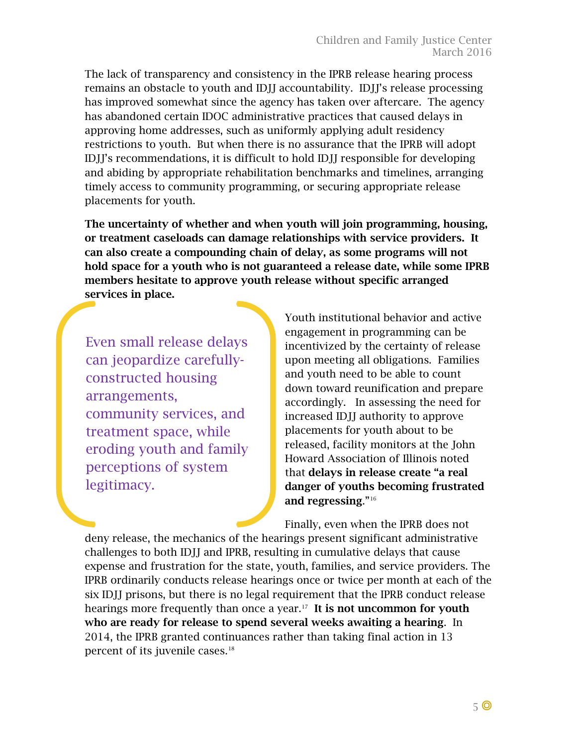The lack of transparency and consistency in the IPRB release hearing process remains an obstacle to youth and IDJJ accountability. IDJJ's release processing has improved somewhat since the agency has taken over aftercare. The agency has abandoned certain IDOC administrative practices that caused delays in approving home addresses, such as uniformly applying adult residency restrictions to youth. But when there is no assurance that the IPRB will adopt IDJJ's recommendations, it is difficult to hold IDJJ responsible for developing and abiding by appropriate rehabilitation benchmarks and timelines, arranging timely access to community programming, or securing appropriate release placements for youth.

The uncertainty of whether and when youth will join programming, housing, or treatment caseloads can damage relationships with service providers. It can also create a compounding chain of delay, as some programs will not hold space for a youth who is not guaranteed a release date, while some IPRB members hesitate to approve youth release without specific arranged services in place.

Even small release delays can jeopardize carefullyconstructed housing arrangements, community services, and treatment space, while eroding youth and family perceptions of system legitimacy.

Youth institutional behavior and active engagement in programming can be incentivized by the certainty of release upon meeting all obligations. Families and youth need to be able to count down toward reunification and prepare accordingly. In assessing the need for increased IDJJ authority to approve placements for youth about to be released, facility monitors at the John Howard Association of Illinois noted that delays in release create "a real danger of youths becoming frustrated and regressing."[16](#page-13-5) 

Finally, even when the IPRB does not

deny release, the mechanics of the hearings present significant administrative challenges to both IDJJ and IPRB, resulting in cumulative delays that cause expense and frustration for the state, youth, families, and service providers. The IPRB ordinarily conducts release hearings once or twice per month at each of the six IDJJ prisons, but there is no legal requirement that the IPRB conduct release hearings more frequently than once a year.<sup>[17](#page-13-6)</sup> It is not uncommon for youth who are ready for release to spend several weeks awaiting a hearing. In 2014, the IPRB granted continuances rather than taking final action in 13 percent of its juvenile cases.<sup>[18](#page-13-7)</sup>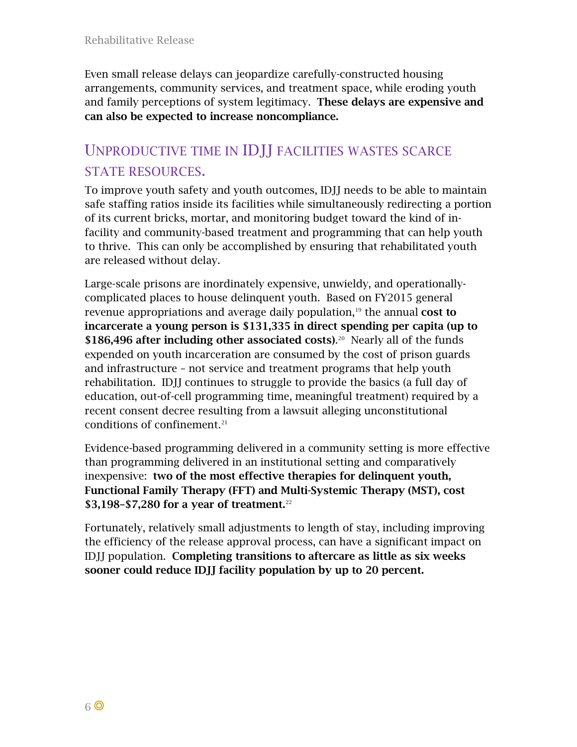Even small release delays can jeopardize carefully-constructed housing arrangements, community services, and treatment space, while eroding youth and family perceptions of system legitimacy. These delays are expensive and can also be expected to increase noncompliance.

#### UNPRODUCTIVE TIME IN IDJJ FACILITIES WASTES SCARCE STATE RESOURCES.

To improve youth safety and youth outcomes, IDJJ needs to be able to maintain safe staffing ratios inside its facilities while simultaneously redirecting a portion of its current bricks, mortar, and monitoring budget toward the kind of infacility and community-based treatment and programming that can help youth to thrive. This can only be accomplished by ensuring that rehabilitated youth are released without delay.

<span id="page-7-0"></span>Large-scale prisons are inordinately expensive, unwieldy, and operationallycomplicated places to house delinquent youth. Based on FY2015 general revenue appropriations and average daily population, $19$  the annual cost to incarcerate a young person is \$131,335 in direct spending per capita (up to \$186,496 after including other associated costs).<sup>20</sup> Nearly all of the funds expended on youth incarceration are consumed by the cost of prison guards and infrastructure – not service and treatment programs that help youth rehabilitation. IDJJ continues to struggle to provide the basics (a full day of education, out-of-cell programming time, meaningful treatment) required by a recent consent decree resulting from a lawsuit alleging unconstitutional conditions of confinement.<sup>21</sup>

Evidence-based programming delivered in a community setting is more effective than programming delivered in an institutional setting and comparatively inexpensive: two of the most effective therapies for delinquent youth, Functional Family Therapy (FFT) and Multi-Systemic Therapy (MST), cost \$3,198–\$7,280 for a year of treatment.<sup>[22](#page-13-11)</sup>

Fortunately, relatively small adjustments to length of stay, including improving the efficiency of the release approval process, can have a significant impact on IDJJ population. Completing transitions to aftercare as little as six weeks sooner could reduce IDJJ facility population by up to 20 percent.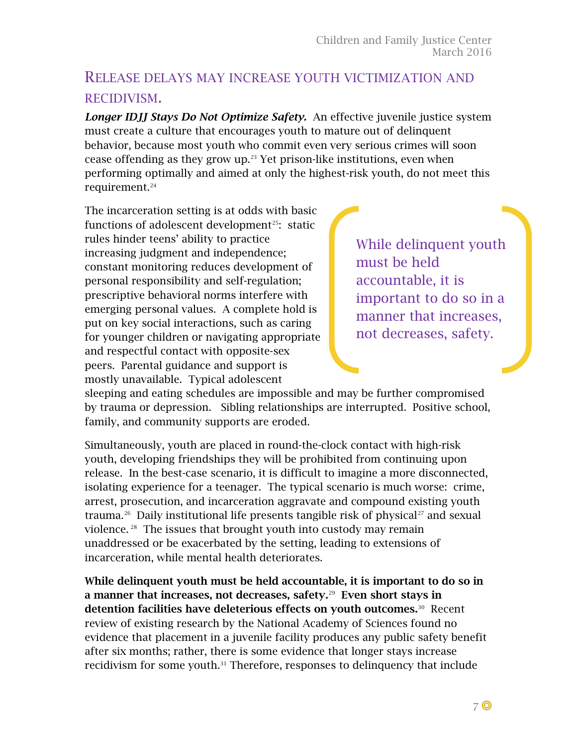#### RELEASE DELAYS MAY INCREASE YOUTH VICTIMIZATION AND RECIDIVISM.

*Longer IDJJ Stays Do Not Optimize Safety.* An effective juvenile justice system must create a culture that encourages youth to mature out of delinquent behavior, because most youth who commit even very serious crimes will soon cease offending as they grow up. $23$  Yet prison-like institutions, even when performing optimally and aimed at only the highest-risk youth, do not meet this requirement.<sup>24</sup>

<span id="page-8-0"></span>The incarceration setting is at odds with basic functions of adolescent development<sup>25</sup>: static rules hinder teens' ability to practice increasing judgment and independence; constant monitoring reduces development of personal responsibility and self-regulation; prescriptive behavioral norms interfere with emerging personal values. A complete hold is put on key social interactions, such as caring for younger children or navigating appropriate and respectful contact with opposite-sex peers. Parental guidance and support is mostly unavailable. Typical adolescent

While delinquent youth must be held accountable, it is important to do so in a manner that increases, not decreases, safety.

sleeping and eating schedules are impossible and may be further compromised by trauma or depression. Sibling relationships are interrupted. Positive school, family, and community supports are eroded.

Simultaneously, youth are placed in round-the-clock contact with high-risk youth, developing friendships they will be prohibited from continuing upon release. In the best-case scenario, it is difficult to imagine a more disconnected, isolating experience for a teenager. The typical scenario is much worse: crime, arrest, prosecution, and incarceration aggravate and compound existing youth trauma.<sup>26</sup> Daily institutional life presents tangible risk of physical<sup>27</sup> and sexual violence. [28](#page-13-17) The issues that brought youth into custody may remain unaddressed or be exacerbated by the setting, leading to extensions of incarceration, while mental health deteriorates.

<span id="page-8-1"></span>While delinquent youth must be held accountable, it is important to do so in a manner that increases, not decreases, safety. $29$  Even short stays in detention facilities have deleterious effects on youth outcomes.<sup>30</sup> Recent review of existing research by the National Academy of Sciences found no evidence that placement in a juvenile facility produces any public safety benefit after six months; rather, there is some evidence that longer stays increase recidivism for some youth.<sup>[31](#page-13-20)</sup> Therefore, responses to delinguency that include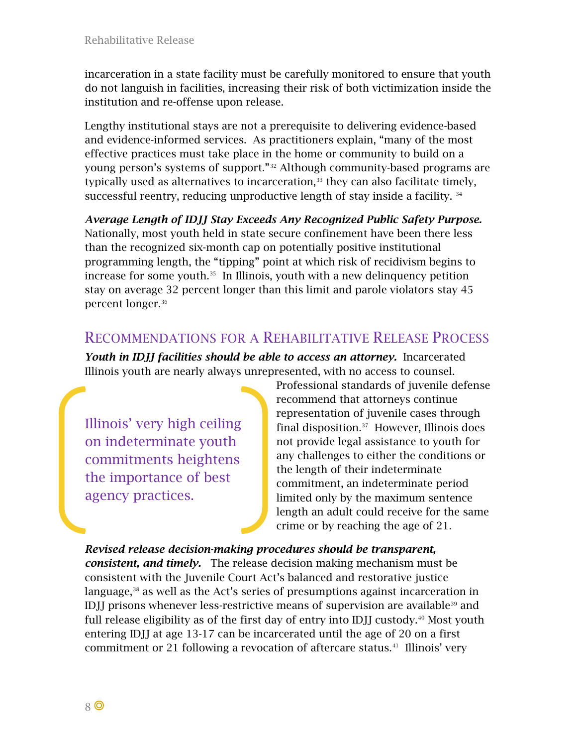incarceration in a state facility must be carefully monitored to ensure that youth do not languish in facilities, increasing their risk of both victimization inside the institution and re-offense upon release.

Lengthy institutional stays are not a prerequisite to delivering evidence-based and evidence-informed services. As practitioners explain, "many of the most effective practices must take place in the home or community to build on a young person's systems of support."[32](#page-13-21) Although community-based programs are typically used as alternatives to incarceration, $33$  they can also facilitate timely, successful reentry, reducing unproductive length of stay inside a facility. [34](#page-13-23)

*Average Length of IDJJ Stay Exceeds Any Recognized Public Safety Purpose.* Nationally, most youth held in state secure confinement have been there less than the recognized six-month cap on potentially positive institutional programming length, the "tipping" point at which risk of recidivism begins to increase for some youth. $35$  In Illinois, youth with a new delinquency petition stay on average 32 percent longer than this limit and parole violators stay 45 percent longer.[36](#page-13-25)

#### RECOMMENDATIONS FOR A REHABILITATIVE RELEASE PROCESS

*Youth in IDJJ facilities should be able to access an attorney.* Incarcerated Illinois youth are nearly always unrepresented, with no access to counsel.

Illinois' very high ceiling on indeterminate youth commitments heightens the importance of best agency practices.

Professional standards of juvenile defense recommend that attorneys continue representation of juvenile cases through final disposition.[37](#page-13-26) However, Illinois does not provide legal assistance to youth for any challenges to either the conditions or the length of their indeterminate commitment, an indeterminate period limited only by the maximum sentence length an adult could receive for the same crime or by reaching the age of 21.

*Revised release decision-making procedures should be transparent, consistent, and timely.* The release decision making mechanism must be consistent with the Juvenile Court Act's balanced and restorative justice language,<sup>[38](#page-13-27)</sup> as well as the Act's series of presumptions against incarceration in IDJJ prisons whenever less-restrictive means of supervision are available<sup>[39](#page-13-28)</sup> and full release eligibility as of the first day of entry into IDII custody.<sup>[40](#page-13-29)</sup> Most youth entering IDJJ at age 13-17 can be incarcerated until the age of 20 on a first commitment or 21 following a revocation of aftercare status.<sup>[41](#page-13-30)</sup> Illinois' very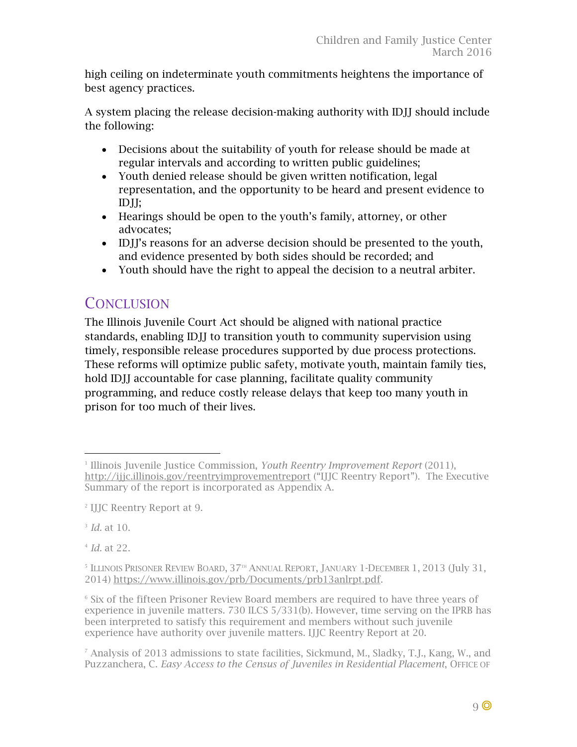high ceiling on indeterminate youth commitments heightens the importance of best agency practices.

A system placing the release decision-making authority with IDJJ should include the following:

- Decisions about the suitability of youth for release should be made at regular intervals and according to written public guidelines;
- Youth denied release should be given written notification, legal representation, and the opportunity to be heard and present evidence to IDJJ;
- Hearings should be open to the youth's family, attorney, or other advocates;
- IDJJ's reasons for an adverse decision should be presented to the youth, and evidence presented by both sides should be recorded; and
- Youth should have the right to appeal the decision to a neutral arbiter.

#### **CONCLUSION**

The Illinois Juvenile Court Act should be aligned with national practice standards, enabling IDJJ to transition youth to community supervision using timely, responsible release procedures supported by due process protections. These reforms will optimize public safety, motivate youth, maintain family ties, hold IDJJ accountable for case planning, facilitate quality community programming, and reduce costly release delays that keep too many youth in prison for too much of their lives.

<sup>3</sup> *Id.* at 10.

<sup>4</sup> *Id.* at 22.

<sup>1</sup> Illinois Juvenile Justice Commission, *Youth Reentry Improvement Report* (2011), <http://ijjc.illinois.gov/reentryimprovementreport> ("IJJC Reentry Report"). The Executive Summary of the report is incorporated as Appendix A. ł

<sup>2</sup> IJJC Reentry Report at 9.

 $5$  ILLINOIS PRISONER REVIEW BOARD,  $37<sup>th</sup>$  ANNUAL REPORT, JANUARY 1-DECEMBER 1, 2013 (July 31, 2014) [https://www.illinois.gov/prb/Documents/prb13anlrpt.pdf.](https://www.illinois.gov/prb/Documents/prb13anlrpt.pdf)

<sup>6</sup> Six of the fifteen Prisoner Review Board members are required to have three years of experience in juvenile matters. 730 ILCS 5/331(b). However, time serving on the IPRB has been interpreted to satisfy this requirement and members without such juvenile experience have authority over juvenile matters. IJJC Reentry Report at 20.

 $^7$  Analysis of 2013 admissions to state facilities, Sickmund, M., Sladky, T.J., Kang, W., and Puzzanchera, C. *Easy Access to the Census of Juveniles in Residential Placement*, OFFICE OF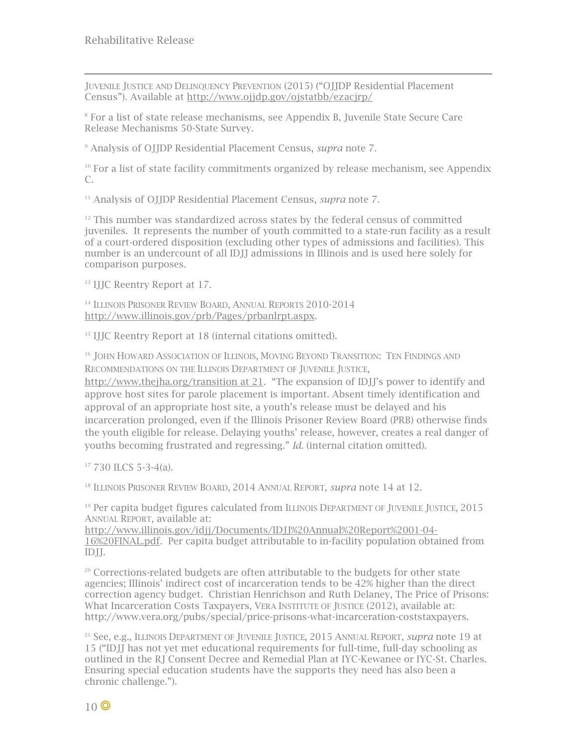ł JUVENILE JUSTICE AND DELINQUENCY PREVENTION (2015) ("OJJDP Residential Placement Census"). Available at<http://www.ojjdp.gov/ojstatbb/ezacjrp/>

<sup>8</sup> For a list of state release mechanisms, see Appendix B, Juvenile State Secure Care Release Mechanisms 50-State Survey.

<sup>9</sup> Analysis of OJJDP Residential Placement Census, *supra* note [7.](#page-4-0)

 $10$  For a list of state facility commitments organized by release mechanism, see Appendix C.

<sup>11</sup> Analysis of OJJDP Residential Placement Census, *supra* note [7.](#page-4-0)

 $12$  This number was standardized across states by the federal census of committed juveniles. It represents the number of youth committed to a state-run facility as a result of a court-ordered disposition (excluding other types of admissions and facilities). This number is an undercount of all IDJJ admissions in Illinois and is used here solely for comparison purposes.

<sup>13</sup> IJJC Reentry Report at 17.

<sup>14</sup> ILLINOIS PRISONER REVIEW BOARD, ANNUAL REPORTS 2010-2014 [http://www.illinois.gov/prb/Pages/prbanlrpt.aspx.](http://www.illinois.gov/prb/Pages/prbanlrpt.aspx)

<sup>15</sup> IJJC Reentry Report at 18 (internal citations omitted).

<sup>16</sup> JOHN HOWARD ASSOCIATION OF ILLINOIS, MOVING BEYOND TRANSITION: TEN FINDINGS AND RECOMMENDATIONS ON THE ILLINOIS DEPARTMENT OF JUVENILE JUSTICE,

[http://www.thejha.org/transition at 21.](http://www.thejha.org/transition%20at%2021) "The expansion of IDJJ's power to identify and approve host sites for parole placement is important. Absent timely identification and approval of an appropriate host site, a youth's release must be delayed and his incarceration prolonged, even if the Illinois Prisoner Review Board (PRB) otherwise finds the youth eligible for release. Delaying youths' release, however, creates a real danger of youths becoming frustrated and regressing." *Id.* (internal citation omitted).

<span id="page-11-0"></span> $17$  730 ILCS 5-3-4(a).

<sup>18</sup> ILLINOIS PRISONER REVIEW BOARD, 2014 ANNUAL REPORT, *supra* note [14](#page-5-0) at 12.

<span id="page-11-1"></span><sup>19</sup> Per capita budget figures calculated from ILLINOIS DEPARTMENT OF JUVENILE JUSTICE, 2015 ANNUAL REPORT, available at:

<span id="page-11-3"></span><span id="page-11-2"></span>[http://www.illinois.gov/idjj/Documents/IDJJ%20Annual%20Report%2001-04-](http://www.illinois.gov/idjj/Documents/IDJJ%20Annual%20Report%2001-04-16%20FINAL.pdf) [16%20FINAL.pdf.](http://www.illinois.gov/idjj/Documents/IDJJ%20Annual%20Report%2001-04-16%20FINAL.pdf) Per capita budget attributable to in-facility population obtained from IDJJ.

 $20$  Corrections-related budgets are often attributable to the budgets for other state agencies; Illinois' indirect cost of incarceration tends to be 42% higher than the direct correction agency budget. Christian Henrichson and Ruth Delaney, The Price of Prisons: What Incarceration Costs Taxpayers, VERA INSTITUTE OF JUSTICE (2012), available at: http://www.vera.org/pubs/special/price-prisons-what-incarceration-coststaxpayers.

<sup>21</sup> See, e.g., ILLINOIS DEPARTMENT OF JUVENILE JUSTICE, 2015 ANNUAL REPORT, *supra* note [19](#page-7-0) at 15 ("IDJJ has not yet met educational requirements for full-time, full-day schooling as outlined in the RJ Consent Decree and Remedial Plan at IYC-Kewanee or IYC-St. Charles. Ensuring special education students have the supports they need has also been a chronic challenge.").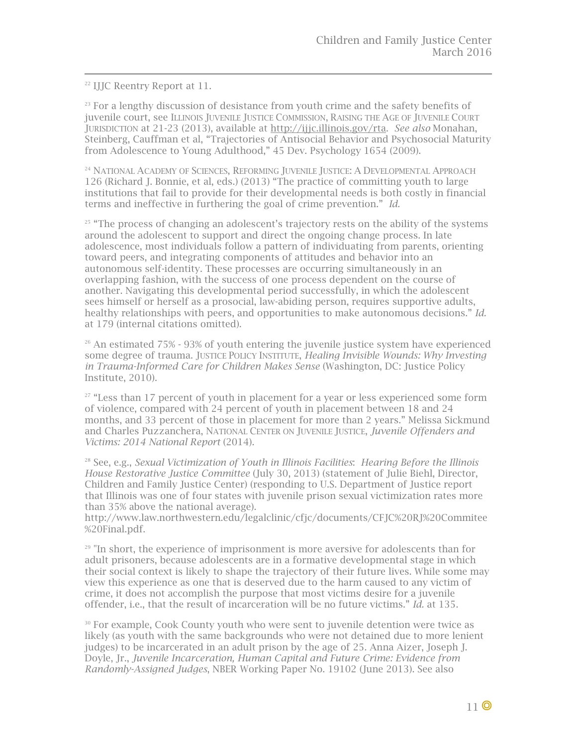22 IJJC Reentry Report at 11.

<span id="page-12-3"></span> $23$  For a lengthy discussion of desistance from youth crime and the safety benefits of juvenile court, see ILLINOIS JUVENILE JUSTICE COMMISSION, RAISING THE AGE OF JUVENILE COURT JURISDICTION at 21-23 (2013), available at [http://ijjc.illinois.gov/rta.](http://ijjc.illinois.gov/rta) *See also* Monahan, Steinberg, Cauffman et al, "Trajectories of Antisocial Behavior and Psychosocial Maturity from Adolescence to Young Adulthood," 45 Dev. Psychology 1654 (2009).

<span id="page-12-5"></span><span id="page-12-4"></span><sup>24</sup> NATIONAL ACADEMY OF SCIENCES, REFORMING JUVENILE JUSTICE: A DEVELOPMENTAL APPROACH 126 (Richard J. Bonnie, et al, eds.) (2013) "The practice of committing youth to large institutions that fail to provide for their developmental needs is both costly in financial terms and ineffective in furthering the goal of crime prevention." *Id.*

 $25$  "The process of changing an adolescent's trajectory rests on the ability of the systems around the adolescent to support and direct the ongoing change process. In late adolescence, most individuals follow a pattern of individuating from parents, orienting toward peers, and integrating components of attitudes and behavior into an autonomous self-identity. These processes are occurring simultaneously in an overlapping fashion, with the success of one process dependent on the course of another. Navigating this developmental period successfully, in which the adolescent sees himself or herself as a prosocial, law-abiding person, requires supportive adults, healthy relationships with peers, and opportunities to make autonomous decisions." *Id.*  at 179 (internal citations omitted).

 $26$  An estimated 75% - 93% of youth entering the juvenile justice system have experienced some degree of trauma. JUSTICE POLICY INSTITUTE, *Healing Invisible Wounds: Why Investing in Trauma-Informed Care for Children Makes Sense* (Washington, DC: Justice Policy Institute, 2010).

 $27$  "Less than 17 percent of youth in placement for a year or less experienced some form of violence, compared with 24 percent of youth in placement between 18 and 24 months, and 33 percent of those in placement for more than 2 years." Melissa Sickmund and Charles Puzzanchera, NATIONAL CENTER ON JUVENILE JUSTICE, *Juvenile Offenders and Victims: 2014 National Report* (2014).

<sup>28</sup> See, e.g., *Sexual Victimization of Youth in Illinois Facilities*: *Hearing Before the Illinois House Restorative Justice Committee* (July 30, 2013) (statement of Julie Biehl, Director, Children and Family Justice Center) (responding to U.S. Department of Justice report that Illinois was one of four states with juvenile prison sexual victimization rates more than 35% above the national average).

http://www.law.northwestern.edu/legalclinic/cfjc/documents/CFJC%20RJ%20Commitee %20Final.pdf.

<span id="page-12-0"></span><sup>29</sup> "In short, the experience of imprisonment is more aversive for adolescents than for adult prisoners, because adolescents are in a formative developmental stage in which their social context is likely to shape the trajectory of their future lives. While some may view this experience as one that is deserved due to the harm caused to any victim of crime, it does not accomplish the purpose that most victims desire for a juvenile offender, i.e., that the result of incarceration will be no future victims." *Id.* at 135.

<span id="page-12-2"></span><span id="page-12-1"></span><sup>30</sup> For example, Cook County youth who were sent to juvenile detention were twice as likely (as youth with the same backgrounds who were not detained due to more lenient judges) to be incarcerated in an adult prison by the age of 25. Anna Aizer, Joseph J. Doyle, Jr., *Juvenile Incarceration, Human Capital and Future Crime: Evidence from Randomly-Assigned Judges*, NBER Working Paper No. 19102 (June 2013). See also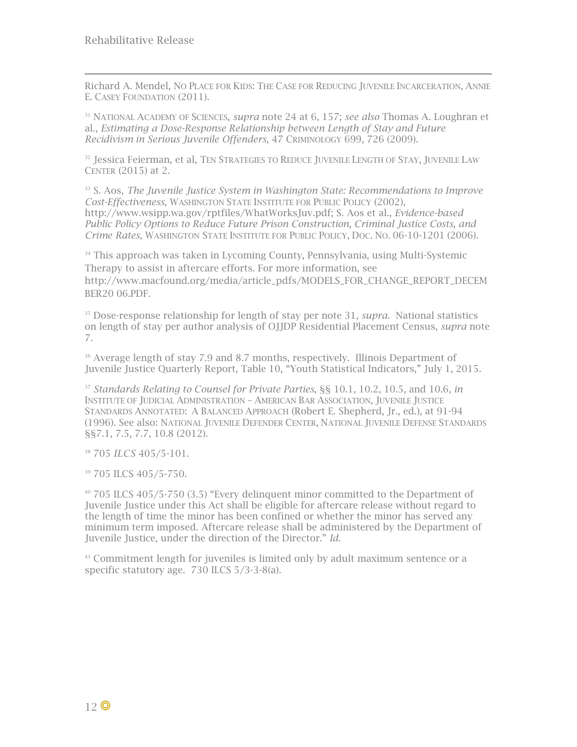<span id="page-13-11"></span>ł Richard A. Mendel, NO PLACE FOR KIDS: THE CASE FOR REDUCING JUVENILE INCARCERATION, ANNIE E. CASEY FOUNDATION (2011).

<span id="page-13-20"></span><span id="page-13-12"></span><sup>31</sup> NATIONAL ACADEMY OF SCIENCES, *supra* note [24](#page-8-0) at 6, 157; *see also* Thomas A. Loughran et al., *Estimating a Dose-Response Relationship between Length of Stay and Future Recidivism in Serious Juvenile Offenders*, 47 CRIMINOLOGY 699, 726 (2009).

<span id="page-13-21"></span><span id="page-13-13"></span><sup>32</sup> Jessica Feierman, et al. Ten Strategies to Reduce Juvenile Length of Stay, Juvenile Law CENTER (2015) at 2.

<span id="page-13-22"></span><span id="page-13-1"></span><span id="page-13-0"></span><sup>33</sup> S. Aos, *The Juvenile Justice System in Washington State: Recommendations to Improve Cost-Effectiveness*, WASHINGTON STATE INSTITUTE FOR PUBLIC POLICY (2002), http://www.wsipp.wa.gov/rptfiles/WhatWorksJuv.pdf; S. Aos et al., *Evidence-based Public Policy Options to Reduce Future Prison Construction, Criminal Justice Costs, and Crime Rates*, WASHINGTON STATE INSTITUTE FOR PUBLIC POLICY, DOC. NO. 06-10-1201 (2006).

<span id="page-13-23"></span><span id="page-13-14"></span><span id="page-13-2"></span><sup>34</sup> This approach was taken in Lycoming County, Pennsylvania, using Multi-Systemic Therapy to assist in aftercare efforts. For more information, see http://www.macfound.org/media/article\_pdfs/MODELS\_FOR\_CHANGE\_REPORT\_DECEM BER20 06.PDF.

<span id="page-13-24"></span><span id="page-13-4"></span><span id="page-13-3"></span><sup>35</sup> Dose-response relationship for length of stay per note [31,](#page-8-1) *supra*. National statistics on length of stay per author analysis of OJJDP Residential Placement Census, *supra* note [7.](#page-4-0)

<span id="page-13-25"></span><span id="page-13-15"></span><span id="page-13-5"></span><sup>36</sup> Average length of stay 7.9 and 8.7 months, respectively. Illinois Department of Juvenile Justice Quarterly Report, Table 10, "Youth Statistical Indicators," July 1, 2015.

<span id="page-13-26"></span><span id="page-13-16"></span><sup>37</sup> *Standards Relating to Counsel for Private Parties*, §§ 10.1, 10.2, 10.5, and 10.6, *in* INSTITUTE OF JUDICIAL ADMINISTRATION – AMERICAN BAR ASSOCIATION, JUVENILE JUSTICE STANDARDS ANNOTATED: A BALANCED APPROACH (Robert E. Shepherd, Jr., ed.), at 91-94 (1996). See also: NATIONAL JUVENILE DEFENDER CENTER, NATIONAL JUVENILE DEFENSE STANDARDS §§7.1, 7.5, 7.7, 10.8 (2012).

<span id="page-13-27"></span><sup>38</sup> 705 *ILCS* 405/5-101.

<span id="page-13-28"></span><span id="page-13-17"></span><span id="page-13-6"></span><sup>39</sup> 705 ILCS 405/5-750.

<span id="page-13-29"></span><span id="page-13-8"></span><span id="page-13-7"></span><sup>40</sup> 705 ILCS 405/5-750 (3.5) "Every delinquent minor committed to the Department of Juvenile Justice under this Act shall be eligible for aftercare release without regard to the length of time the minor has been confined or whether the minor has served any minimum term imposed. Aftercare release shall be administered by the Department of Juvenile Justice, under the direction of the Director." *Id.* 

<span id="page-13-30"></span><span id="page-13-19"></span><span id="page-13-18"></span><span id="page-13-10"></span><span id="page-13-9"></span><sup>41</sup> Commitment length for juveniles is limited only by adult maximum sentence or a specific statutory age. 730 ILCS 5/3-3-8(a).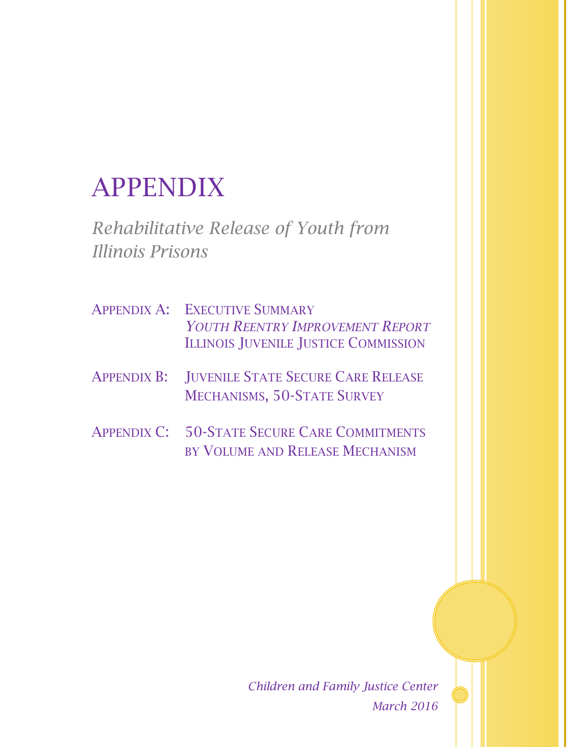# APPENDIX

*Rehabilitative Release of Youth from Illinois Prisons*

- APPENDIX A: EXECUTIVE SUMMARY *YOUTH REENTRY IMPROVEMENT REPORT* ILLINOIS JUVENILE JUSTICE COMMISSION
- APPENDIX B: JUVENILE STATE SECURE CARE RELEASE MECHANISMS, 50-STATE SURVEY
- APPENDIX C: 50-STATE SECURE CARE COMMITMENTS BY VOLUME AND RELEASE MECHANISM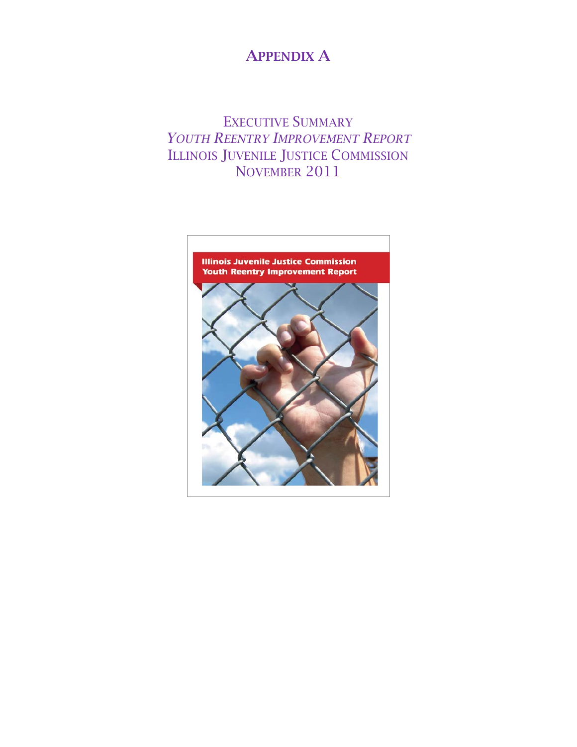#### APPENDIX A

#### EXECUTIVE SUMMARY *YOUTH REENTRY IMPROVEMENT REPORT* ILLINOIS JUVENILE JUSTICE COMMISSION NOVEMBER 2011

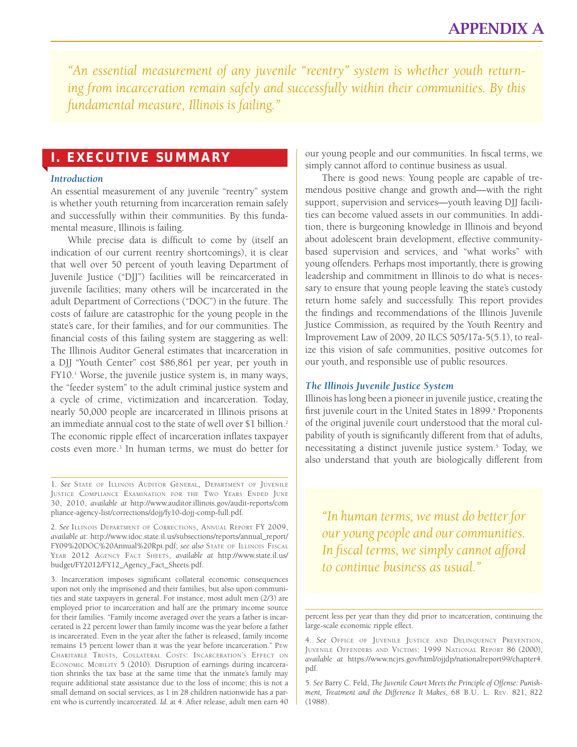*"An essential measurement of any juvenile "reentry" system is whether youth returning from incarceration remain safely and successfully within their communities. By this fundamental measure, Illinois is failing."* 

#### I. EXECUTIVE SUMMARY

#### *Introduction*

An essential measurement of any juvenile "reentry" system is whether youth returning from incarceration remain safely and successfully within their communities. By this fundamental measure, Illinois is failing.

While precise data is difficult to come by (itself an indication of our current reentry shortcomings), it is clear that well over 50 percent of youth leaving Department of Juvenile Justice ("DJJ") facilities will be reincarcerated in juvenile facilities; many others will be incarcerated in the adult Department of Corrections ("DOC") in the future. The costs of failure are catastrophic for the young people in the state's care, for their families, and for our communities. The financial costs of this failing system are staggering as well: The Illinois Auditor General estimates that incarceration in a DJJ "Youth Center" cost \$86,861 per year, per youth in FY10.<sup>1</sup> Worse, the juvenile justice system is, in many ways, the "feeder system" to the adult criminal justice system and a cycle of crime, victimization and incarceration. Today, nearly 50,000 people are incarcerated in Illinois prisons at an immediate annual cost to the state of well over \$1 billion.<sup>2</sup> The economic ripple effect of incarceration inflates taxpayer costs even more.3 In human terms, we must do better for

3. Incarceration imposes significant collateral economic consequences upon not only the imprisoned and their families, but also upon communities and state taxpayers in general. For instance, most adult men (2/3) are employed prior to incarceration and half are the primary income source for their families. "Family income averaged over the years a father is incarcerated is 22 percent lower than family income was the year before a father is incarcerated. Even in the year after the father is released, family income remains 15 percent lower than it was the year before incarceration." Pew Charitable Trusts, Collateral Costs: Incarceration's Effect on ECONOMIC MOBILITY 5 (2010). Disruption of earnings during incarceration shrinks the tax base at the same time that the inmate's family may require additional state assistance due to the loss of income; this is not a small demand on social services, as 1 in 28 children nationwide has a parent who is currently incarcerated. *Id.* at 4. After release, adult men earn 40

our young people and our communities. In fiscal terms, we simply cannot afford to continue business as usual.

There is good news: Young people are capable of tremendous positive change and growth and—with the right support, supervision and services—youth leaving DJJ facilities can become valued assets in our communities. In addition, there is burgeoning knowledge in Illinois and beyond about adolescent brain development, effective communitybased supervision and services, and "what works" with young offenders. Perhaps most importantly, there is growing leadership and commitment in Illinois to do what is necessary to ensure that young people leaving the state's custody return home safely and successfully. This report provides the findings and recommendations of the Illinois Juvenile Justice Commission, as required by the Youth Reentry and Improvement Law of 2009, 20 ILCS 505/17a-5(5.1), to realize this vision of safe communities, positive outcomes for our youth, and responsible use of public resources.

#### *The Illinois Juvenile Justice System*

Illinois has long been a pioneer in juvenile justice, creating the first juvenile court in the United States in 1899.<sup>4</sup> Proponents of the original juvenile court understood that the moral culpability of youth is significantly different from that of adults, necessitating a distinct juvenile justice system.5 Today, we also understand that youth are biologically different from

*"In human terms, we must do better for our young people and our communities. In fiscal terms, we simply cannot afford to continue business as usual."*

percent less per year than they did prior to incarceration, continuing the large-scale economic ripple effect.

4. *See* Office of Juvenile Justice and Delinquency Prevention, Juvenile Offenders and Victims: 1999 National Report 86 (2000), *available at* https://www.ncjrs.gov/html/ojjdp/nationalreport99/chapter4. pdf.

5. *See* Barry C. Feld, *The Juvenile Court Meets the Principle of Offense: Punishment, Treatment and the Difference It Makes*, 68 B.U. L. Rev. 821, 822 (1988).

<sup>1.</sup> *See* State of Illinois Auditor General, Department of Juvenile Justice Compliance Examination for the Two Years Ended June 30, 2010, *available at* http://www.auditor.illinois.gov/audit-reports/com pliance-agency-list/corrections/dojj/fy10-dojj-comp-full.pdf.

<sup>2.</sup> *See* Illinois Department of Corrections, Annual Report FY 2009, *available at*: http://www.idoc.state.il.us/subsections/reports/annual\_report/ FY09%20DOC%20Annual%20Rpt.pdf; *see also* State of Illinois Fiscal Year 2012 Agency Fact Sheets, *available at* http://www.state.il.us/ budget/FY2012/FY12\_Agency\_Fact\_Sheets.pdf.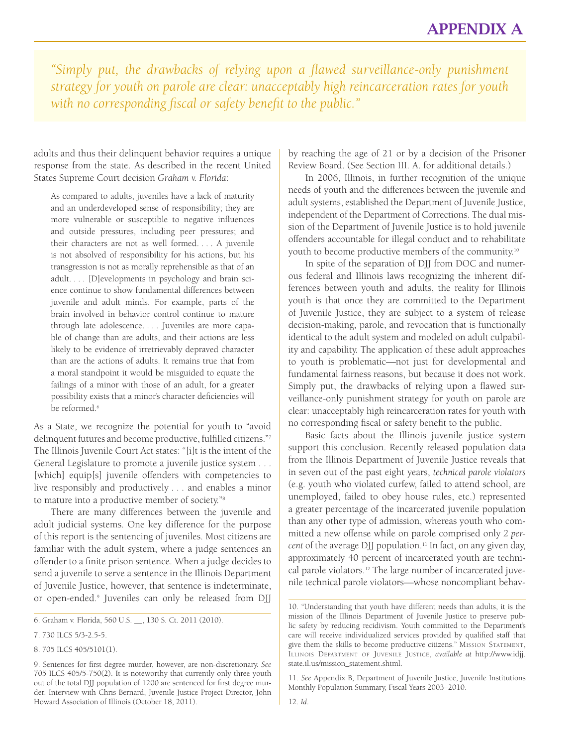*"Simply put, the drawbacks of relying upon a flawed surveillance-only punishment strategy for youth on parole are clear: unacceptably high reincarceration rates for youth with no corresponding fiscal or safety benefit to the public."* 

adults and thus their delinquent behavior requires a unique response from the state. As described in the recent United States Supreme Court decision *Graham v. Florida*:

As compared to adults, juveniles have a lack of maturity and an underdeveloped sense of responsibility; they are more vulnerable or susceptible to negative influences and outside pressures, including peer pressures; and their characters are not as well formed. . . . A juvenile is not absolved of responsibility for his actions, but his transgression is not as morally reprehensible as that of an adult. . . . [D]evelopments in psychology and brain science continue to show fundamental differences between juvenile and adult minds. For example, parts of the brain involved in behavior control continue to mature through late adolescence. . . . Juveniles are more capable of change than are adults, and their actions are less likely to be evidence of irretrievably depraved character than are the actions of adults. It remains true that from a moral standpoint it would be misguided to equate the failings of a minor with those of an adult, for a greater possibility exists that a minor's character deficiencies will be reformed.<sup>6</sup>

As a State, we recognize the potential for youth to "avoid delinquent futures and become productive, fulfilled citizens."7 The Illinois Juvenile Court Act states: "[i]t is the intent of the General Legislature to promote a juvenile justice system . . . [which] equip[s] juvenile offenders with competencies to live responsibly and productively . . . and enables a minor to mature into a productive member of society."8

There are many differences between the juvenile and adult judicial systems. One key difference for the purpose of this report is the sentencing of juveniles. Most citizens are familiar with the adult system, where a judge sentences an offender to a finite prison sentence. When a judge decides to send a juvenile to serve a sentence in the Illinois Department of Juvenile Justice, however, that sentence is indeterminate, or open-ended.9 Juveniles can only be released from DJJ

8. 705 ILCS 405/5101(1).

by reaching the age of 21 or by a decision of the Prisoner Review Board. (See Section III. A. for additional details.)

In 2006, Illinois, in further recognition of the unique needs of youth and the differences between the juvenile and adult systems, established the Department of Juvenile Justice, independent of the Department of Corrections. The dual mission of the Department of Juvenile Justice is to hold juvenile offenders accountable for illegal conduct and to rehabilitate youth to become productive members of the community.10

In spite of the separation of DJJ from DOC and numerous federal and Illinois laws recognizing the inherent differences between youth and adults, the reality for Illinois youth is that once they are committed to the Department of Juvenile Justice, they are subject to a system of release decision-making, parole, and revocation that is functionally identical to the adult system and modeled on adult culpability and capability. The application of these adult approaches to youth is problematic—not just for developmental and fundamental fairness reasons, but because it does not work. Simply put, the drawbacks of relying upon a flawed surveillance-only punishment strategy for youth on parole are clear: unacceptably high reincarceration rates for youth with no corresponding fiscal or safety benefit to the public.

Basic facts about the Illinois juvenile justice system support this conclusion. Recently released population data from the Illinois Department of Juvenile Justice reveals that in seven out of the past eight years, *technical parole violators* (e.g. youth who violated curfew, failed to attend school, are unemployed, failed to obey house rules, etc.) represented a greater percentage of the incarcerated juvenile population than any other type of admission, whereas youth who committed a new offense while on parole comprised only *2 percent* of the average DJJ population.11 In fact, on any given day, approximately 40 percent of incarcerated youth are technical parole violators.<sup>12</sup> The large number of incarcerated juvenile technical parole violators—whose noncompliant behav-

11. *See* Appendix B, Department of Juvenile Justice, Juvenile Institutions Monthly Population Summary, Fiscal Years 2003–2010.

<sup>6.</sup> Graham v. Florida, 560 U.S. \_\_, 130 S. Ct. 2011 (2010).

<sup>7. 730</sup> ILCS 5/3-2.5-5.

<sup>9.</sup> Sentences for first degree murder, however, are non-discretionary. *See* 705 ILCS 405/5-750(2). It is noteworthy that currently only three youth out of the total DJJ population of 1200 are sentenced for first degree murder. Interview with Chris Bernard, Juvenile Justice Project Director, John Howard Association of Illinois (October 18, 2011).

<sup>10. &</sup>quot;Understanding that youth have different needs than adults, it is the mission of the Illinois Department of Juvenile Justice to preserve public safety by reducing recidivism. Youth committed to the Department's care will receive individualized services provided by qualified staff that give them the skills to become productive citizens." Mission Statement, Illinois Department of Juvenile Justice, *available at* http://www.idjj. state.il.us/mission\_statement.shtml.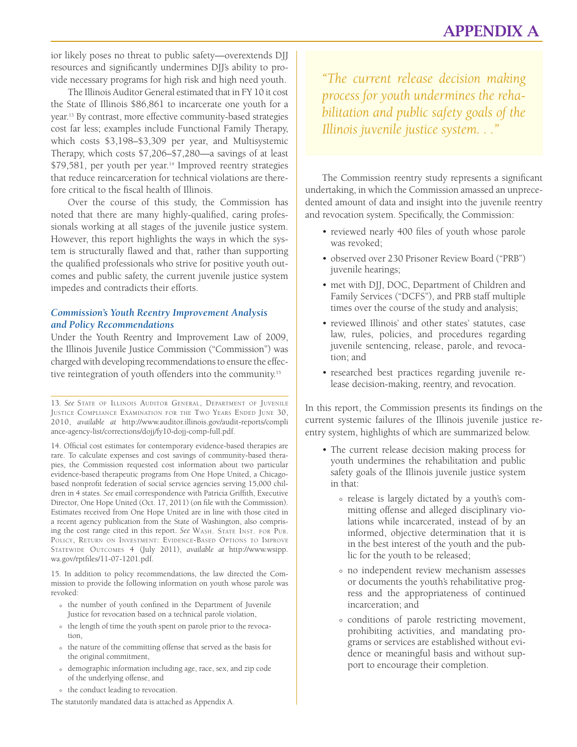ior likely poses no threat to public safety—overextends DJJ resources and significantly undermines DJJ's ability to provide necessary programs for high risk and high need youth.

The Illinois Auditor General estimated that in FY 10 it cost the State of Illinois \$86,861 to incarcerate one youth for a year.13 By contrast, more effective community-based strategies cost far less; examples include Functional Family Therapy, which costs \$3,198–\$3,309 per year, and Multisystemic Therapy, which costs \$7,206–\$7,280—a savings of at least \$79,581, per youth per year.<sup>14</sup> Improved reentry strategies that reduce reincarceration for technical violations are therefore critical to the fiscal health of Illinois.

Over the course of this study, the Commission has noted that there are many highly-qualified, caring professionals working at all stages of the juvenile justice system. However, this report highlights the ways in which the system is structurally flawed and that, rather than supporting the qualified professionals who strive for positive youth outcomes and public safety, the current juvenile justice system impedes and contradicts their efforts.

#### *Commission's Youth Reentry Improvement Analysis and Policy Recommendations*

Under the Youth Reentry and Improvement Law of 2009, the Illinois Juvenile Justice Commission ("Commission") was charged with developing recommendations to ensure the effective reintegration of youth offenders into the community.15

13. *See* State of Illinois Auditor General, Department of Juvenile Justice Compliance Examination for the Two Years Ended June 30, 2010, *available at* http://www.auditor.illinois.gov/audit-reports/compli ance-agency-list/corrections/dojj/fy10-dojj-comp-full.pdf.

14. Official cost estimates for contemporary evidence-based therapies are rare. To calculate expenses and cost savings of community-based therapies, the Commission requested cost information about two particular evidence-based therapeutic programs from One Hope United, a Chicagobased nonprofit federation of social service agencies serving 15,000 children in 4 states. *See* email correspondence with Patricia Griffith, Executive Director, One Hope United (Oct. 17, 2011) (on file with the Commission). Estimates received from One Hope United are in line with those cited in a recent agency publication from the State of Washington, also comprising the cost range cited in this report. *See* Wash. State Inst. for Pub. Policy, Return on Investment: Evidence-Based Options to Improve Statewide Outcomes 4 (July 2011), *available at* http://www.wsipp. wa.gov/rptfiles/11-07-1201.pdf.

15. In addition to policy recommendations, the law directed the Commission to provide the following information on youth whose parole was revoked:

- the number of youth confined in the Department of Juvenile ° Justice for revocation based on a technical parole violation,
- The length of time the youth spent on parole prior to the revocation.
- o the nature of the committing offense that served as the basis for the original commitment,
- o demographic information including age, race, sex, and zip code of the underlying offense, and
- $\circ$  the conduct leading to revocation.

The statutorily mandated data is attached as Appendix A.

*"The current release decision making process for youth undermines the rehabilitation and public safety goals of the Illinois juvenile justice system. . ."*

The Commission reentry study represents a significant undertaking, in which the Commission amassed an unprecedented amount of data and insight into the juvenile reentry and revocation system. Specifically, the Commission:

- reviewed nearly 400 files of youth whose parole was revoked;
- observed over 230 Prisoner Review Board ("PRB") juvenile hearings;
- met with DJJ, DOC, Department of Children and Family Services ("DCFS"), and PRB staff multiple times over the course of the study and analysis;
- reviewed Illinois' and other states' statutes, case law, rules, policies, and procedures regarding juvenile sentencing, release, parole, and revocation; and
- researched best practices regarding juvenile release decision-making, reentry, and revocation.

In this report, the Commission presents its findings on the current systemic failures of the Illinois juvenile justice reentry system, highlights of which are summarized below.

- The current release decision making process for youth undermines the rehabilitation and public safety goals of the Illinois juvenile justice system in that:
	- release is largely dictated by a youth's com-<br>mitting offense and alleged disciplinary violations while incarcerated, instead of by an informed, objective determination that it is in the best interest of the youth and the public for the youth to be released;
	- no independent review mechanism assesses or documents the youth's rehabilitative progress and the appropriateness of continued incarceration; and
	- conditions of parole restricting movement, ° prohibiting activities, and mandating programs or services are established without evidence or meaningful basis and without support to encourage their completion.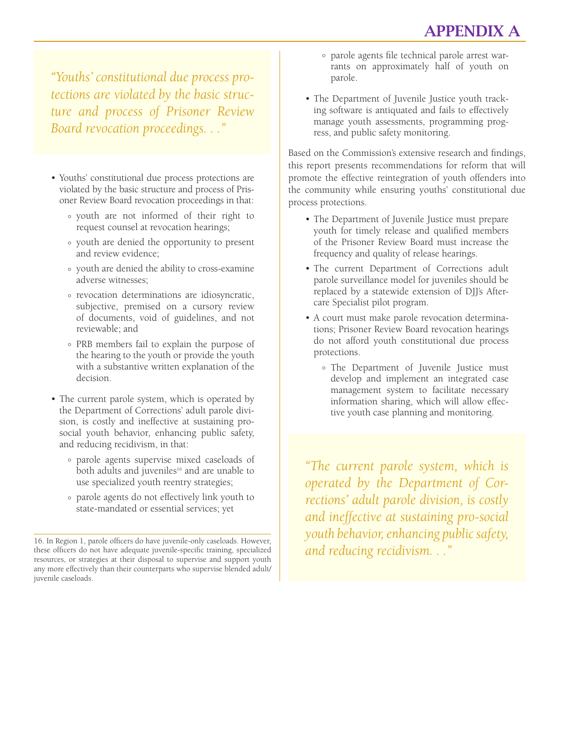*"Youths' constitutional due process protections are violated by the basic structure and process of Prisoner Review Board revocation proceedings. . ."*

- Youths' constitutional due process protections are violated by the basic structure and process of Prisoner Review Board revocation proceedings in that:
	- youth are not informed of their right to ° request counsel at revocation hearings;
	- youth are denied the opportunity to present ° and review evidence;
	- youth are denied the ability to cross-examine adverse witnesses;
	- revocation determinations are idiosyncratic, ° subjective, premised on a cursory review of documents, void of guidelines, and not reviewable; and
	- PRB members fail to explain the purpose of the hearing to the youth or provide the youth with a substantive written explanation of the decision.
- The current parole system, which is operated by the Department of Corrections' adult parole division, is costly and ineffective at sustaining prosocial youth behavior, enhancing public safety, and reducing recidivism, in that:
	- parole agents supervise mixed caseloads of both adults and juveniles<sup>16</sup> and are unable to use specialized youth reentry strategies;
	- parole agents do not effectively link youth to ° state-mandated or essential services; yet
- parole agents file technical parole arrest war-<br>rants on approximately half of youth on parole.
- The Department of Juvenile Justice youth tracking software is antiquated and fails to effectively manage youth assessments, programming progress, and public safety monitoring.

Based on the Commission's extensive research and findings, this report presents recommendations for reform that will promote the effective reintegration of youth offenders into the community while ensuring youths' constitutional due process protections.

- The Department of Juvenile Justice must prepare youth for timely release and qualified members of the Prisoner Review Board must increase the frequency and quality of release hearings.
- The current Department of Corrections adult parole surveillance model for juveniles should be replaced by a statewide extension of DJJ's Aftercare Specialist pilot program.
- A court must make parole revocation determinations; Prisoner Review Board revocation hearings do not afford youth constitutional due process protections.
	- The Department of Juvenile Justice must develop and implement an integrated case management system to facilitate necessary information sharing, which will allow effective youth case planning and monitoring.

*"The current parole system, which is operated by the Department of Corrections' adult parole division, is costly and ineffective at sustaining pro-social youth behavior, enhancing public safety, and reducing recidivism. . ."*

<sup>16.</sup> In Region 1, parole officers do have juvenile-only caseloads. However, these officers do not have adequate juvenile-specific training, specialized resources, or strategies at their disposal to supervise and support youth any more effectively than their counterparts who supervise blended adult/ juvenile caseloads.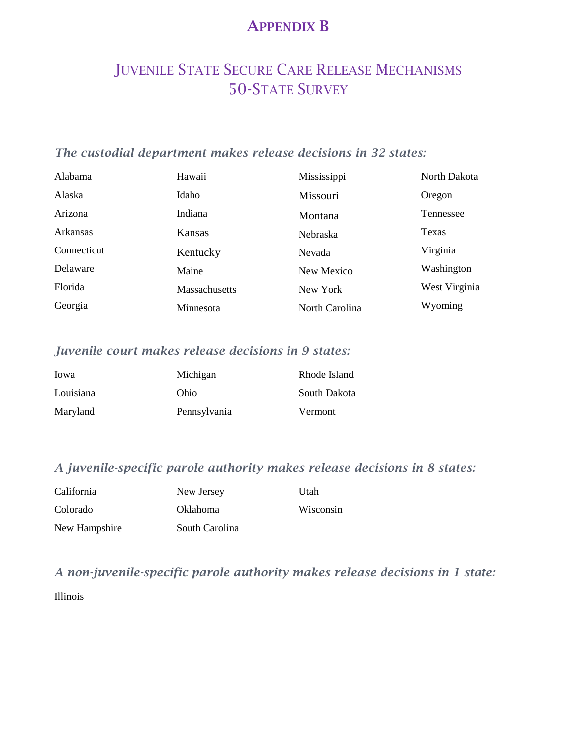#### APPENDIX B

### JUVENILE STATE SECURE CARE RELEASE MECHANISMS 50-STATE SURVEY

#### *The custodial department makes release decisions in 32 states:*

| Alabama     | Hawaii               | Mississippi     | North Dakota  |
|-------------|----------------------|-----------------|---------------|
| Alaska      | Idaho                | Missouri        | Oregon        |
| Arizona     | Indiana              | Montana         | Tennessee     |
| Arkansas    | Kansas               | <b>Nebraska</b> | Texas         |
| Connecticut | Kentucky             | <b>Nevada</b>   | Virginia      |
| Delaware    | Maine                | New Mexico      | Washington    |
| Florida     | <b>Massachusetts</b> | New York        | West Virginia |
| Georgia     | Minnesota            | North Carolina  | Wyoming       |

#### *Juvenile court makes release decisions in 9 states:*

| Iowa      | Michigan     | Rhode Island |
|-----------|--------------|--------------|
| Louisiana | Ohio         | South Dakota |
| Maryland  | Pennsylvania | Vermont      |

#### *A juvenile-specific parole authority makes release decisions in 8 states:*

| California    | New Jersey      | Utah      |
|---------------|-----------------|-----------|
| Colorado      | <b>Oklahoma</b> | Wisconsin |
| New Hampshire | South Carolina  |           |

*A non-juvenile-specific parole authority makes release decisions in 1 state:*  Illinois